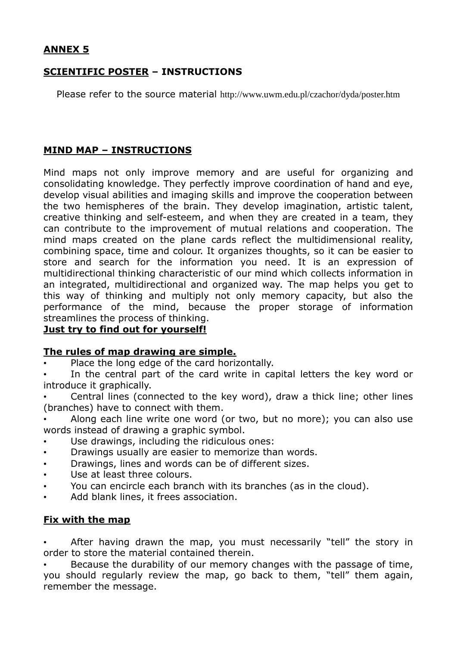## **ANNEX 5**

# **SCIENTIFIC POSTER – INSTRUCTIONS**

Please refer to the source material <http://www.uwm.edu.pl/czachor/dyda/poster.htm>

### **MIND MAP – INSTRUCTIONS**

Mind maps not only improve memory and are useful for organizing and consolidating knowledge. They perfectly improve coordination of hand and eye, develop visual abilities and imaging skills and improve the cooperation between the two hemispheres of the brain. They develop imagination, artistic talent, creative thinking and self-esteem, and when they are created in a team, they can contribute to the improvement of mutual relations and cooperation. The mind maps created on the plane cards reflect the multidimensional reality, combining space, time and colour. It organizes thoughts, so it can be easier to store and search for the information you need. It is an expression of multidirectional thinking characteristic of our mind which collects information in an integrated, multidirectional and organized way. The map helps you get to this way of thinking and multiply not only memory capacity, but also the performance of the mind, because the proper storage of information streamlines the process of thinking.

#### **Just try to find out for yourself!**

#### **The rules of map drawing are simple.**

Place the long edge of the card horizontally.

In the central part of the card write in capital letters the key word or introduce it graphically.

• Central lines (connected to the key word), draw a thick line; other lines (branches) have to connect with them.

• Along each line write one word (or two, but no more); you can also use words instead of drawing a graphic symbol.

- Use drawings, including the ridiculous ones:
- Drawings usually are easier to memorize than words.
- Drawings, lines and words can be of different sizes.
- Use at least three colours.
- You can encircle each branch with its branches (as in the cloud).
- Add blank lines, it frees association.

#### **Fix with the map**

After having drawn the map, you must necessarily "tell" the story in order to store the material contained therein.

Because the durability of our memory changes with the passage of time, you should regularly review the map, go back to them, "tell" them again, remember the message.